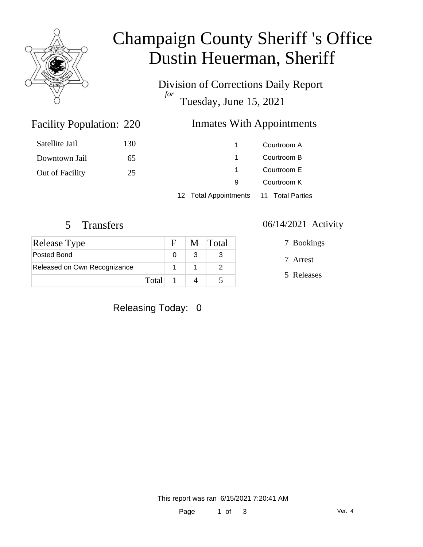

# Champaign County Sheriff 's Office Dustin Heuerman, Sheriff

Division of Corrections Daily Report *for* Tuesday, June 15, 2021

### Inmates With Appointments

|                 |     | $40.7$ total Associates and $\alpha$ and $\pi$ and $\pi$ |             |
|-----------------|-----|----------------------------------------------------------|-------------|
|                 |     | 9                                                        | Courtroom K |
| Out of Facility | 25  |                                                          | Courtroom E |
| Downtown Jail   | 65  |                                                          | Courtroom B |
| Satellite Jail  | 130 |                                                          | Courtroom A |
|                 |     |                                                          |             |

12 Total Appointments 11 Total Parties

Facility Population: 220

| Release Type                 |         | F | M Total |
|------------------------------|---------|---|---------|
| Posted Bond                  |         |   |         |
| Released on Own Recognizance |         |   |         |
|                              | Total 1 |   |         |

Releasing Today: 0

#### 5 Transfers 06/14/2021 Activity

7 Bookings

7 Arrest

5 Releases

This report was ran 6/15/2021 7:20:41 AM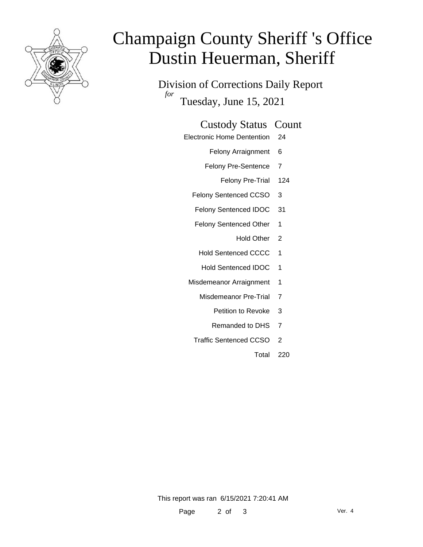

# Champaign County Sheriff 's Office Dustin Heuerman, Sheriff

Division of Corrections Daily Report *for* Tuesday, June 15, 2021

#### Custody Status Count

- Electronic Home Dentention 24
	- Felony Arraignment 6
	- Felony Pre-Sentence 7
		- Felony Pre-Trial 124
	- Felony Sentenced CCSO 3
	- Felony Sentenced IDOC 31
	- Felony Sentenced Other 1
		- Hold Other 2
	- Hold Sentenced CCCC 1
	- Hold Sentenced IDOC 1
	- Misdemeanor Arraignment 1
		- Misdemeanor Pre-Trial 7
			- Petition to Revoke 3
			- Remanded to DHS 7
		- Traffic Sentenced CCSO 2
			- Total 220

This report was ran 6/15/2021 7:20:41 AM